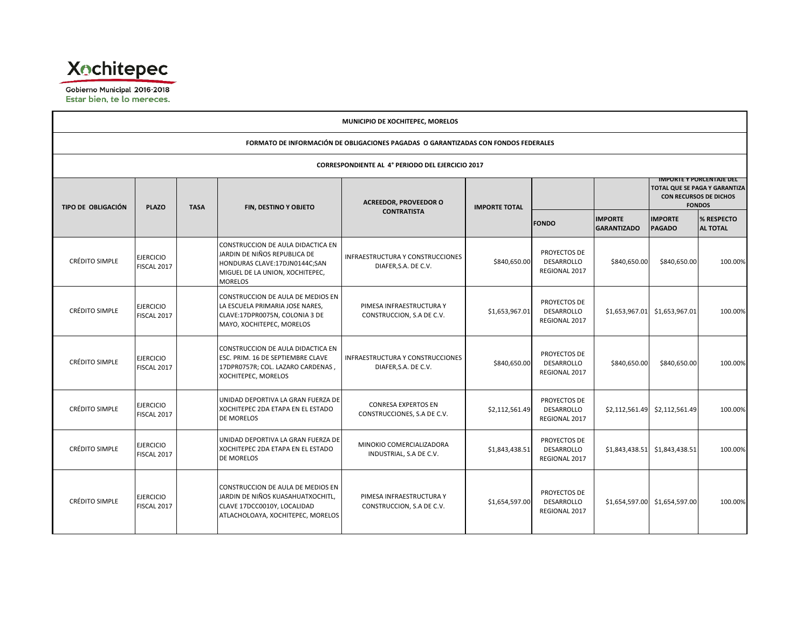

Gobierno Municipal 2016-2018 Estar bien, te lo mereces.

| MUNICIPIO DE XOCHITEPEC, MORELOS                                                   |                                 |                             |                                                                                                                                                         |                                                           |                      |                                                    |                                      |                                 |                                                                                                             |  |  |
|------------------------------------------------------------------------------------|---------------------------------|-----------------------------|---------------------------------------------------------------------------------------------------------------------------------------------------------|-----------------------------------------------------------|----------------------|----------------------------------------------------|--------------------------------------|---------------------------------|-------------------------------------------------------------------------------------------------------------|--|--|
| FORMATO DE INFORMACIÓN DE OBLIGACIONES PAGADAS O GARANTIZADAS CON FONDOS FEDERALES |                                 |                             |                                                                                                                                                         |                                                           |                      |                                                    |                                      |                                 |                                                                                                             |  |  |
| <b>CORRESPONDIENTE AL 4° PERIODO DEL EJERCICIO 2017</b>                            |                                 |                             |                                                                                                                                                         |                                                           |                      |                                                    |                                      |                                 |                                                                                                             |  |  |
| TIPO DE OBLIGACIÓN                                                                 |                                 | <b>PLAZO</b><br><b>TASA</b> | FIN, DESTINO Y OBJETO                                                                                                                                   | <b>ACREEDOR, PROVEEDOR O</b>                              | <b>IMPORTE TOTAL</b> |                                                    |                                      |                                 | <b>IMPORTE Y PORCENTAJE DEL</b><br>TOTAL QUE SE PAGA Y GARANTIZA<br>CON RECURSOS DE DICHOS<br><b>FONDOS</b> |  |  |
|                                                                                    |                                 |                             |                                                                                                                                                         | <b>CONTRATISTA</b>                                        |                      | <b>FONDO</b>                                       | <b>IMPORTE</b><br><b>GARANTIZADO</b> | <b>IMPORTE</b><br><b>PAGADO</b> | % RESPECTO<br><b>AL TOTAL</b>                                                                               |  |  |
| <b>CRÉDITO SIMPLE</b>                                                              | <b>EJERCICIO</b><br>FISCAL 2017 |                             | CONSTRUCCION DE AULA DIDACTICA EN<br>JARDIN DE NIÑOS REPUBLICA DE<br>HONDURAS CLAVE:17DJN0144C;SAN<br>MIGUEL DE LA UNION, XOCHITEPEC,<br><b>MORELOS</b> | INFRAESTRUCTURA Y CONSTRUCCIONES<br>DIAFER, S.A. DE C.V.  | \$840,650.00         | PROYECTOS DE<br><b>DESARROLLO</b><br>REGIONAL 2017 | \$840,650.00                         | \$840,650.00                    | 100.00%                                                                                                     |  |  |
| CRÉDITO SIMPLE                                                                     | <b>EJERCICIO</b><br>FISCAL 2017 |                             | CONSTRUCCION DE AULA DE MEDIOS EN<br>LA ESCUELA PRIMARIA JOSE NARES,<br>CLAVE:17DPR0075N, COLONIA 3 DE<br>MAYO, XOCHITEPEC, MORELOS                     | PIMESA INFRAESTRUCTURA Y<br>CONSTRUCCION, S.A DE C.V.     | \$1,653,967.01       | PROYECTOS DE<br>DESARROLLO<br>REGIONAL 2017        |                                      | \$1,653,967.01 \$1,653,967.01   | 100.00%                                                                                                     |  |  |
| <b>CRÉDITO SIMPLE</b>                                                              | <b>EJERCICIO</b><br>FISCAL 2017 |                             | CONSTRUCCION DE AULA DIDACTICA EN<br>ESC. PRIM. 16 DE SEPTIEMBRE CLAVE<br>17DPR0757R; COL. LAZARO CARDENAS,<br>XOCHITEPEC, MORELOS                      | INFRAESTRUCTURA Y CONSTRUCCIONES<br>DIAFER, S.A. DE C.V.  | \$840,650.00         | PROYECTOS DE<br><b>DESARROLLO</b><br>REGIONAL 2017 | \$840,650.00                         | \$840,650.00                    | 100.00%                                                                                                     |  |  |
| <b>CRÉDITO SIMPLE</b>                                                              | <b>EJERCICIO</b><br>FISCAL 2017 |                             | UNIDAD DEPORTIVA LA GRAN FUERZA DE<br>XOCHITEPEC 2DA ETAPA EN EL ESTADO<br><b>DE MORELOS</b>                                                            | <b>CONRESA EXPERTOS EN</b><br>CONSTRUCCIONES, S.A DE C.V. | \$2,112,561.49       | PROYECTOS DE<br>DESARROLLO<br>REGIONAL 2017        |                                      | \$2,112,561.49 \$2,112,561.49   | 100.00%                                                                                                     |  |  |
| CRÉDITO SIMPLE                                                                     | <b>EJERCICIO</b><br>FISCAL 2017 |                             | UNIDAD DEPORTIVA LA GRAN FUERZA DE<br>XOCHITEPEC 2DA ETAPA EN EL ESTADO<br><b>DE MORELOS</b>                                                            | MINOKIO COMERCIALIZADORA<br>INDUSTRIAL, S.A DE C.V.       | \$1,843,438.51       | PROYECTOS DE<br>DESARROLLO<br>REGIONAL 2017        |                                      | \$1,843,438.51 \$1,843,438.51   | 100.00%                                                                                                     |  |  |
| <b>CRÉDITO SIMPLE</b>                                                              | <b>EJERCICIO</b><br>FISCAL 2017 |                             | CONSTRUCCION DE AULA DE MEDIOS EN<br>JARDIN DE NIÑOS KUASAHUATXOCHITL,<br>CLAVE 17DCC0010Y, LOCALIDAD<br>ATLACHOLOAYA, XOCHITEPEC, MORELOS              | PIMESA INFRAESTRUCTURA Y<br>CONSTRUCCION, S.A DE C.V.     | \$1,654,597.00       | PROYECTOS DE<br><b>DESARROLLO</b><br>REGIONAL 2017 |                                      | \$1,654,597.00 \$1,654,597.00   | 100.00%                                                                                                     |  |  |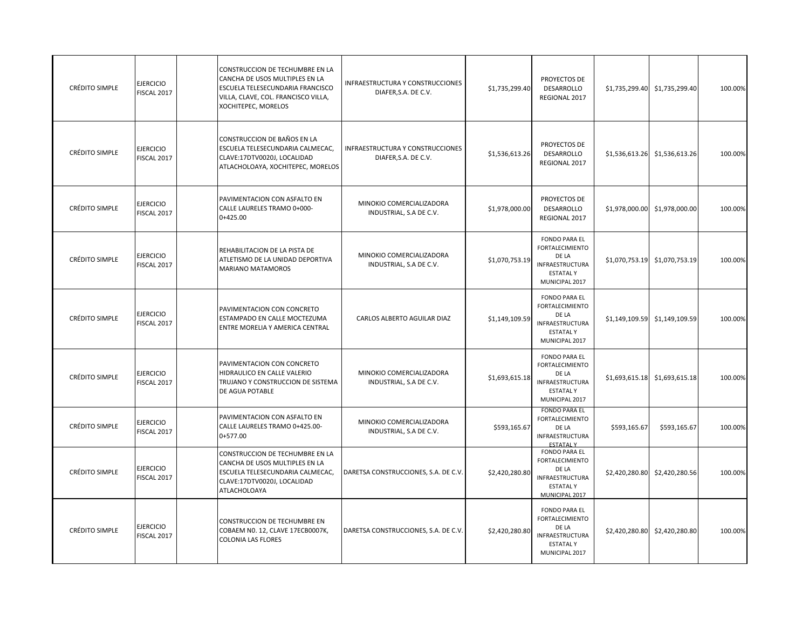| <b>CRÉDITO SIMPLE</b> | <b>EJERCICIO</b><br><b>FISCAL 2017</b> | CONSTRUCCION DE TECHUMBRE EN LA<br>CANCHA DE USOS MULTIPLES EN LA<br>ESCUELA TELESECUNDARIA FRANCISCO<br>VILLA, CLAVE, COL. FRANCISCO VILLA,<br>XOCHITEPEC, MORELOS | INFRAESTRUCTURA Y CONSTRUCCIONES<br>DIAFER, S.A. DE C.V. | \$1,735,299.40 | PROYECTOS DE<br><b>DESARROLLO</b><br>REGIONAL 2017                                                                     | \$1,735,299.40 | \$1,735,299.40                | 100.00% |
|-----------------------|----------------------------------------|---------------------------------------------------------------------------------------------------------------------------------------------------------------------|----------------------------------------------------------|----------------|------------------------------------------------------------------------------------------------------------------------|----------------|-------------------------------|---------|
| CRÉDITO SIMPLE        | <b>EJERCICIO</b><br>FISCAL 2017        | CONSTRUCCION DE BAÑOS EN LA<br>ESCUELA TELESECUNDARIA CALMECAC,<br>CLAVE:17DTV0020J, LOCALIDAD<br>ATLACHOLOAYA, XOCHITEPEC, MORELOS                                 | INFRAESTRUCTURA Y CONSTRUCCIONES<br>DIAFER, S.A. DE C.V. | \$1,536,613.26 | PROYECTOS DE<br>DESARROLLO<br>REGIONAL 2017                                                                            | \$1,536,613.26 | \$1,536,613.26                | 100.00% |
| <b>CRÉDITO SIMPLE</b> | <b>EJERCICIO</b><br>FISCAL 2017        | PAVIMENTACION CON ASFALTO EN<br>CALLE LAURELES TRAMO 0+000-<br>$0+425.00$                                                                                           | MINOKIO COMERCIALIZADORA<br>INDUSTRIAL, S.A DE C.V.      | \$1,978,000.00 | PROYECTOS DE<br>DESARROLLO<br>REGIONAL 2017                                                                            | \$1,978,000.00 | \$1,978,000.00                | 100.00% |
| <b>CRÉDITO SIMPLE</b> | <b>EJERCICIO</b><br><b>FISCAL 2017</b> | REHABILITACION DE LA PISTA DE<br>ATLETISMO DE LA UNIDAD DEPORTIVA<br><b>MARIANO MATAMOROS</b>                                                                       | MINOKIO COMERCIALIZADORA<br>INDUSTRIAL, S.A DE C.V.      | \$1,070,753.19 | <b>FONDO PARA EL</b><br><b>FORTALECIMIENTO</b><br>DE LA<br><b>INFRAESTRUCTURA</b><br><b>ESTATALY</b><br>MUNICIPAL 2017 | \$1,070,753.19 | \$1,070,753.19                | 100.00% |
| CRÉDITO SIMPLE        | <b>EJERCICIO</b><br>FISCAL 2017        | PAVIMENTACION CON CONCRETO<br>ESTAMPADO EN CALLE MOCTEZUMA<br>ENTRE MORELIA Y AMERICA CENTRAL                                                                       | CARLOS ALBERTO AGUILAR DIAZ                              | \$1,149,109.59 | <b>FONDO PARA EL</b><br><b>FORTALECIMIENTO</b><br>DE LA<br><b>INFRAESTRUCTURA</b><br><b>ESTATALY</b><br>MUNICIPAL 2017 | \$1,149,109.59 | \$1,149,109.59                | 100.00% |
| CRÉDITO SIMPLE        | <b>EJERCICIO</b><br>FISCAL 2017        | PAVIMENTACION CON CONCRETO<br>HIDRAULICO EN CALLE VALERIO<br>TRUJANO Y CONSTRUCCION DE SISTEMA<br>DE AGUA POTABLE                                                   | MINOKIO COMERCIALIZADORA<br>INDUSTRIAL, S.A DE C.V.      | \$1,693,615.18 | <b>FONDO PARA EL</b><br><b>FORTALECIMIENTO</b><br>DE LA<br>INFRAESTRUCTURA<br><b>ESTATALY</b><br>MUNICIPAL 2017        |                | \$1,693,615.18 \$1,693,615.18 | 100.00% |
| CRÉDITO SIMPLE        | <b>EJERCICIO</b><br>FISCAL 2017        | PAVIMENTACION CON ASFALTO EN<br>CALLE LAURELES TRAMO 0+425.00-<br>$0+577.00$                                                                                        | MINOKIO COMERCIALIZADORA<br>INDUSTRIAL, S.A DE C.V.      | \$593,165.67   | <b>FONDO PARA EL</b><br><b>FORTALECIMIENTO</b><br>DE LA<br><b>INFRAESTRUCTURA</b><br><b>ESTATALY</b>                   | \$593,165.67   | \$593,165.67                  | 100.00% |
| <b>CRÉDITO SIMPLE</b> | <b>EJERCICIO</b><br>FISCAL 2017        | CONSTRUCCION DE TECHUMBRE EN LA<br>CANCHA DE USOS MULTIPLES EN LA<br>ESCUELA TELESECUNDARIA CALMECAC,<br>CLAVE:17DTV0020J, LOCALIDAD<br>ATLACHOLOAYA                | DARETSA CONSTRUCCIONES, S.A. DE C.V.                     | \$2,420,280.80 | <b>FONDO PARA EL</b><br><b>FORTALECIMIENTO</b><br>DE LA<br>INFRAESTRUCTURA<br><b>ESTATALY</b><br>MUNICIPAL 2017        | \$2,420,280.80 | \$2,420,280.56                | 100.00% |
| <b>CRÉDITO SIMPLE</b> | <b>EJERCICIO</b><br><b>FISCAL 2017</b> | CONSTRUCCION DE TECHUMBRE EN<br>COBAEM NO. 12, CLAVE 17ECB0007K,<br>COLONIA LAS FLORES                                                                              | DARETSA CONSTRUCCIONES, S.A. DE C.V.                     | \$2,420,280.80 | <b>FONDO PARA EL</b><br><b>FORTALECIMIENTO</b><br>DE LA<br><b>INFRAESTRUCTURA</b><br><b>ESTATALY</b><br>MUNICIPAL 2017 | \$2,420,280.80 | \$2,420,280.80                | 100.00% |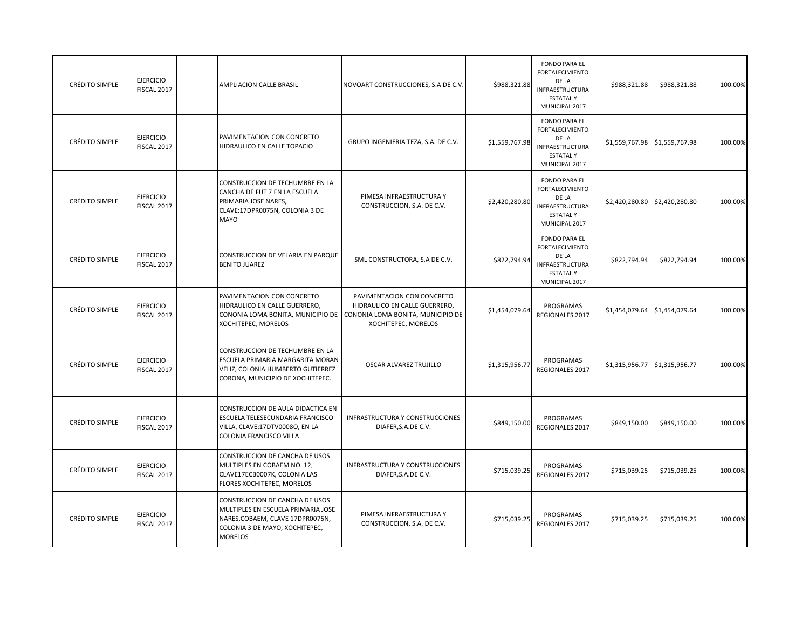| CRÉDITO SIMPLE        | <b>EJERCICIO</b><br>FISCAL 2017        | AMPLIACION CALLE BRASIL                                                                                                                                             | NOVOART CONSTRUCCIONES, S.A DE C.V.                                                                                     | \$988,321.88   | <b>FONDO PARA EL</b><br><b>FORTALECIMIENTO</b><br>DE LA<br><b>INFRAESTRUCTURA</b><br><b>ESTATALY</b><br>MUNICIPAL 2017 | \$988,321.88   | \$988,321.88   | 100.00% |
|-----------------------|----------------------------------------|---------------------------------------------------------------------------------------------------------------------------------------------------------------------|-------------------------------------------------------------------------------------------------------------------------|----------------|------------------------------------------------------------------------------------------------------------------------|----------------|----------------|---------|
| CRÉDITO SIMPLE        | <b>EJERCICIO</b><br>FISCAL 2017        | PAVIMENTACION CON CONCRETO<br>HIDRAULICO EN CALLE TOPACIO                                                                                                           | GRUPO INGENIERIA TEZA, S.A. DE C.V.                                                                                     | \$1,559,767.98 | <b>FONDO PARA EL</b><br><b>FORTALECIMIENTO</b><br>DE LA<br>INFRAESTRUCTURA<br><b>ESTATALY</b><br>MUNICIPAL 2017        | \$1,559,767.98 | \$1,559,767.98 | 100.00% |
| CRÉDITO SIMPLE        | <b>EJERCICIO</b><br>FISCAL 2017        | CONSTRUCCION DE TECHUMBRE EN LA<br>CANCHA DE FUT 7 EN LA ESCUELA<br>PRIMARIA JOSE NARES,<br>CLAVE:17DPR0075N, COLONIA 3 DE<br>MAYO                                  | PIMESA INFRAESTRUCTURA Y<br>CONSTRUCCION, S.A. DE C.V.                                                                  | \$2,420,280.80 | <b>FONDO PARA EL</b><br><b>FORTALECIMIENTO</b><br>DE LA<br><b>INFRAESTRUCTURA</b><br><b>ESTATALY</b><br>MUNICIPAL 2017 | \$2,420,280.80 | \$2,420,280.80 | 100.00% |
| CRÉDITO SIMPLE        | <b>EJERCICIO</b><br>FISCAL 2017        | CONSTRUCCION DE VELARIA EN PARQUE<br><b>BENITO JUAREZ</b>                                                                                                           | SML CONSTRUCTORA, S.A DE C.V.                                                                                           | \$822,794.94   | <b>FONDO PARA EL</b><br><b>FORTALECIMIENTO</b><br>DE LA<br><b>INFRAESTRUCTURA</b><br><b>ESTATALY</b><br>MUNICIPAL 2017 | \$822,794.94   | \$822,794.94   | 100.00% |
| CRÉDITO SIMPLE        | <b>EJERCICIO</b><br>FISCAL 2017        | PAVIMENTACION CON CONCRETO<br>HIDRAULICO EN CALLE GUERRERO,<br>CONONIA LOMA BONITA, MUNICIPIO DE<br>XOCHITEPEC, MORELOS                                             | PAVIMENTACION CON CONCRETO<br>HIDRAULICO EN CALLE GUERRERO,<br>CONONIA LOMA BONITA, MUNICIPIO DE<br>XOCHITEPEC, MORELOS | \$1,454,079.64 | PROGRAMAS<br>REGIONALES 2017                                                                                           | \$1,454,079.64 | \$1,454,079.64 | 100.00% |
| CRÉDITO SIMPLE        | <b>EJERCICIO</b><br>FISCAL 2017        | CONSTRUCCION DE TECHUMBRE EN LA<br>ESCUELA PRIMARIA MARGARITA MORAN<br>VELIZ, COLONIA HUMBERTO GUTIERREZ<br>CORONA, MUNICIPIO DE XOCHITEPEC.                        | OSCAR ALVAREZ TRUJILLO                                                                                                  | \$1,315,956.77 | PROGRAMAS<br>REGIONALES 2017                                                                                           | \$1,315,956.77 | \$1,315,956.77 | 100.00% |
| CRÉDITO SIMPLE        | <b>EJERCICIO</b><br><b>FISCAL 2017</b> | CONSTRUCCION DE AULA DIDACTICA EN<br>ESCUELA TELESECUNDARIA FRANCISCO<br>VILLA, CLAVE:17DTV0008O, EN LA<br>COLONIA FRANCISCO VILLA                                  | INFRASTRUCTURA Y CONSTRUCCIONES<br>DIAFER, S.A.DE C.V.                                                                  | \$849,150.00   | PROGRAMAS<br>REGIONALES 2017                                                                                           | \$849,150.00   | \$849,150.00   | 100.00% |
| CRÉDITO SIMPLE        | <b>EJERCICIO</b><br>FISCAL 2017        | CONSTRUCCION DE CANCHA DE USOS<br>MULTIPLES EN COBAEM NO. 12,<br>CLAVE17ECB0007K, COLONIA LAS<br>FLORES XOCHITEPEC, MORELOS                                         | INFRASTRUCTURA Y CONSTRUCCIONES<br>DIAFER, S.A.DE C.V.                                                                  | \$715,039.25   | PROGRAMAS<br>REGIONALES 2017                                                                                           | \$715,039.25   | \$715,039.25   | 100.00% |
| <b>CRÉDITO SIMPLE</b> | <b>EJERCICIO</b><br><b>FISCAL 2017</b> | <b>CONSTRUCCION DE CANCHA DE USOS</b><br>MULTIPLES EN ESCUELA PRIMARIA JOSE<br>NARES, COBAEM, CLAVE 17DPR0075N,<br>COLONIA 3 DE MAYO, XOCHITEPEC,<br><b>MORELOS</b> | PIMESA INFRAESTRUCTURA Y<br>CONSTRUCCION, S.A. DE C.V.                                                                  | \$715,039.25   | PROGRAMAS<br>REGIONALES 2017                                                                                           | \$715,039.25   | \$715,039.25   | 100.00% |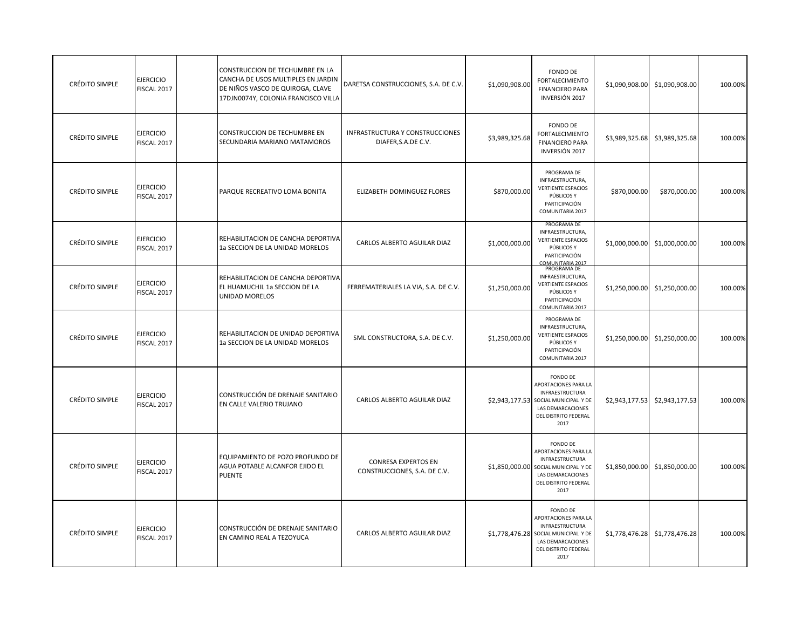| CRÉDITO SIMPLE        | <b>EJERCICIO</b><br>FISCAL 2017 | CONSTRUCCION DE TECHUMBRE EN LA<br>CANCHA DE USOS MULTIPLES EN JARDIN<br>DE NIÑOS VASCO DE QUIROGA, CLAVE<br>17DJN0074Y, COLONIA FRANCISCO VILLA | DARETSA CONSTRUCCIONES, S.A. DE C.V.                       | \$1,090,908.00 | FONDO DE<br><b>FORTALECIMIENTO</b><br><b>FINANCIERO PARA</b><br>INVERSIÓN 2017                                                                   | \$1,090,908.00 | \$1,090,908.00                | 100.00% |
|-----------------------|---------------------------------|--------------------------------------------------------------------------------------------------------------------------------------------------|------------------------------------------------------------|----------------|--------------------------------------------------------------------------------------------------------------------------------------------------|----------------|-------------------------------|---------|
| <b>CRÉDITO SIMPLE</b> | <b>EJERCICIO</b><br>FISCAL 2017 | <b>CONSTRUCCION DE TECHUMBRE EN</b><br>SECUNDARIA MARIANO MATAMOROS                                                                              | INFRASTRUCTURA Y CONSTRUCCIONES<br>DIAFER, S.A.DE C.V.     | \$3,989,325.68 | <b>FONDO DE</b><br><b>FORTALECIMIENTO</b><br><b>FINANCIERO PARA</b><br>INVERSIÓN 2017                                                            |                | \$3,989,325.68 \$3,989,325.68 | 100.00% |
| CRÉDITO SIMPLE        | <b>EJERCICIO</b><br>FISCAL 2017 | PARQUE RECREATIVO LOMA BONITA                                                                                                                    | ELIZABETH DOMINGUEZ FLORES                                 | \$870,000.00   | PROGRAMA DE<br>INFRAESTRUCTURA,<br><b>VERTIENTE ESPACIOS</b><br>PÚBLICOS Y<br>PARTICIPACIÓN<br>COMUNITARIA 2017                                  | \$870,000.00   | \$870,000.00                  | 100.00% |
| CRÉDITO SIMPLE        | <b>EJERCICIO</b><br>FISCAL 2017 | REHABILITACION DE CANCHA DEPORTIVA<br>1a SECCION DE LA UNIDAD MORELOS                                                                            | CARLOS ALBERTO AGUILAR DIAZ                                | \$1,000,000.00 | PROGRAMA DE<br>INFRAESTRUCTURA,<br><b>VERTIENTE ESPACIOS</b><br>PÚBLICOS Y<br>PARTICIPACIÓN<br>COMUNITARIA 2017                                  |                | \$1,000,000.00 \$1,000,000.00 | 100.00% |
| CRÉDITO SIMPLE        | <b>EJERCICIO</b><br>FISCAL 2017 | REHABILITACION DE CANCHA DEPORTIVA<br>EL HUAMUCHIL 1a SECCION DE LA<br>UNIDAD MORELOS                                                            | FERREMATERIALES LA VIA, S.A. DE C.V.                       | \$1,250,000.00 | PROGRAMA DE<br>INFRAESTRUCTURA,<br><b>VERTIENTE ESPACIOS</b><br>PÚBLICOS Y<br>PARTICIPACIÓN<br>COMUNITARIA 2017                                  | \$1,250,000.00 | \$1,250,000.00                | 100.00% |
| CRÉDITO SIMPLE        | <b>EJERCICIO</b><br>FISCAL 2017 | REHABILITACION DE UNIDAD DEPORTIVA<br>1a SECCION DE LA UNIDAD MORELOS                                                                            | SML CONSTRUCTORA, S.A. DE C.V.                             | \$1,250,000.00 | PROGRAMA DE<br>INFRAESTRUCTURA,<br><b>VERTIENTE ESPACIOS</b><br>PÚBLICOS Y<br>PARTICIPACIÓN<br>COMUNITARIA 2017                                  |                | \$1,250,000.00 \$1,250,000.00 | 100.00% |
| <b>CRÉDITO SIMPLE</b> | <b>EJERCICIO</b><br>FISCAL 2017 | CONSTRUCCIÓN DE DRENAJE SANITARIO<br>EN CALLE VALERIO TRUJANO                                                                                    | CARLOS ALBERTO AGUILAR DIAZ                                |                | FONDO DE<br>APORTACIONES PARA LA<br>INFRAESTRUCTURA<br>\$2,943,177.53 SOCIAL MUNICIPAL Y DE<br>LAS DEMARCACIONES<br>DEL DISTRITO FEDERAL<br>2017 |                | \$2,943,177.53 \$2,943,177.53 | 100.00% |
| CRÉDITO SIMPLE        | <b>EJERCICIO</b><br>FISCAL 2017 | EQUIPAMIENTO DE POZO PROFUNDO DE<br>AGUA POTABLE ALCANFOR EJIDO EL<br><b>PUENTE</b>                                                              | <b>CONRESA EXPERTOS EN</b><br>CONSTRUCCIONES, S.A. DE C.V. |                | FONDO DE<br>APORTACIONES PARA LA<br>INFRAESTRUCTURA<br>\$1,850,000.00 SOCIAL MUNICIPAL Y DE<br>LAS DEMARCACIONES<br>DEL DISTRITO FEDERAL<br>2017 | \$1,850,000.00 | \$1,850,000.00                | 100.00% |
| CRÉDITO SIMPLE        | <b>EJERCICIO</b><br>FISCAL 2017 | CONSTRUCCIÓN DE DRENAJE SANITARIO<br>EN CAMINO REAL A TEZOYUCA                                                                                   | CARLOS ALBERTO AGUILAR DIAZ                                |                | FONDO DE<br>APORTACIONES PARA LA<br>INFRAESTRUCTURA<br>\$1,778,476.28 SOCIAL MUNICIPAL Y DE<br>LAS DEMARCACIONES<br>DEL DISTRITO FEDERAL<br>2017 |                | \$1,778,476.28 \$1,778,476.28 | 100.00% |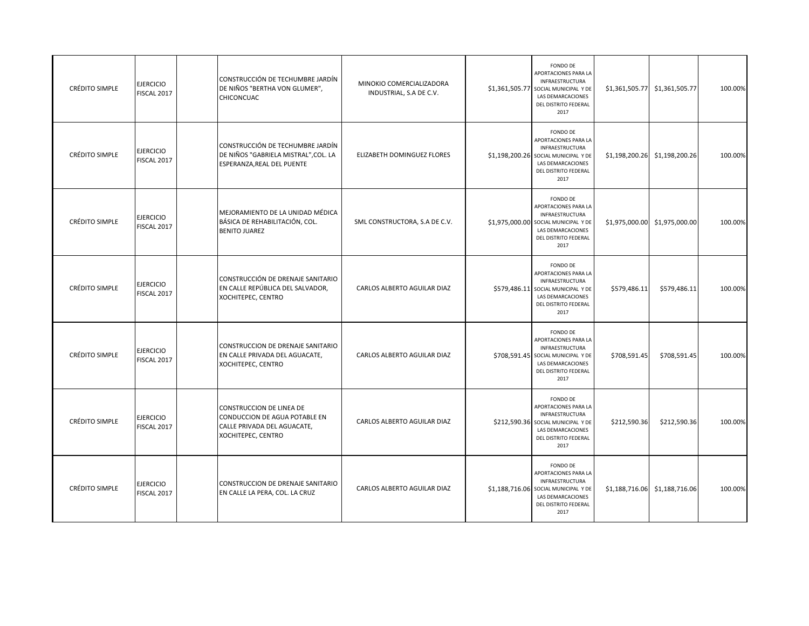| <b>CRÉDITO SIMPLE</b> | <b>EJERCICIO</b><br>FISCAL 2017        | CONSTRUCCIÓN DE TECHUMBRE JARDÍN<br>DE NIÑOS "BERTHA VON GLUMER",<br>CHICONCUAC                                | MINOKIO COMERCIALIZADORA<br>INDUSTRIAL, S.A DE C.V. | FONDO DE<br>APORTACIONES PARA LA<br>INFRAESTRUCTURA<br>\$1,361,505.77 SOCIAL MUNICIPAL Y DE<br>LAS DEMARCACIONES<br>DEL DISTRITO FEDERAL<br>2017        |                | \$1,361,505.77 \$1,361,505.77 | 100.00% |
|-----------------------|----------------------------------------|----------------------------------------------------------------------------------------------------------------|-----------------------------------------------------|---------------------------------------------------------------------------------------------------------------------------------------------------------|----------------|-------------------------------|---------|
| <b>CRÉDITO SIMPLE</b> | <b>EJERCICIO</b><br>FISCAL 2017        | CONSTRUCCIÓN DE TECHUMBRE JARDÍN<br>DE NIÑOS "GABRIELA MISTRAL", COL. LA<br>ESPERANZA, REAL DEL PUENTE         | ELIZABETH DOMINGUEZ FLORES                          | FONDO DE<br>APORTACIONES PARA LA<br>INFRAESTRUCTURA<br>\$1,198,200.26 SOCIAL MUNICIPAL Y DE<br>LAS DEMARCACIONES<br>DEL DISTRITO FEDERAL<br>2017        | \$1,198,200.26 | \$1,198,200.26                | 100.00% |
| CRÉDITO SIMPLE        | <b>EJERCICIO</b><br>FISCAL 2017        | MEJORAMIENTO DE LA UNIDAD MÉDICA<br>BÁSICA DE REHABILITACIÓN, COL.<br><b>BENITO JUAREZ</b>                     | SML CONSTRUCTORA, S.A DE C.V.                       | FONDO DE<br>APORTACIONES PARA LA<br>INFRAESTRUCTURA<br>\$1,975,000.00 SOCIAL MUNICIPAL Y DE<br>LAS DEMARCACIONES<br>DEL DISTRITO FEDERAL<br>2017        |                | \$1,975,000.00 \$1,975,000.00 | 100.00% |
| CRÉDITO SIMPLE        | <b>EJERCICIO</b><br>FISCAL 2017        | CONSTRUCCIÓN DE DRENAJE SANITARIO<br>EN CALLE REPÚBLICA DEL SALVADOR,<br>XOCHITEPEC, CENTRO                    | CARLOS ALBERTO AGUILAR DIAZ                         | FONDO DE<br>APORTACIONES PARA LA<br>INFRAESTRUCTURA<br>\$579,486.11 SOCIAL MUNICIPAL Y DE<br>LAS DEMARCACIONES<br>DEL DISTRITO FEDERAL<br>2017          | \$579,486.11   | \$579,486.11                  | 100.00% |
| CRÉDITO SIMPLE        | <b>EJERCICIO</b><br><b>FISCAL 2017</b> | CONSTRUCCION DE DRENAJE SANITARIO<br>EN CALLE PRIVADA DEL AGUACATE,<br>XOCHITEPEC, CENTRO                      | CARLOS ALBERTO AGUILAR DIAZ                         | FONDO DE<br>APORTACIONES PARA LA<br>INFRAESTRUCTURA<br>\$708,591.45 SOCIAL MUNICIPAL Y DE<br>LAS DEMARCACIONES<br>DEL DISTRITO FEDERAL<br>2017          | \$708,591.45   | \$708,591.45                  | 100.00% |
| CRÉDITO SIMPLE        | <b>EJERCICIO</b><br>FISCAL 2017        | CONSTRUCCION DE LINEA DE<br>CONDUCCION DE AGUA POTABLE EN<br>CALLE PRIVADA DEL AGUACATE,<br>XOCHITEPEC, CENTRO | CARLOS ALBERTO AGUILAR DIAZ                         | <b>FONDO DE</b><br>APORTACIONES PARA LA<br>INFRAESTRUCTURA<br>\$212,590.36 SOCIAL MUNICIPAL Y DE<br>LAS DEMARCACIONES<br>DEL DISTRITO FEDERAL<br>2017   | \$212,590.36   | \$212,590.36                  | 100.00% |
| <b>CRÉDITO SIMPLE</b> | <b>EJERCICIO</b><br>FISCAL 2017        | CONSTRUCCION DE DRENAJE SANITARIO<br>EN CALLE LA PERA, COL. LA CRUZ                                            | CARLOS ALBERTO AGUILAR DIAZ                         | FONDO DE<br>APORTACIONES PARA LA<br><b>INFRAESTRUCTURA</b><br>\$1,188,716.06 SOCIAL MUNICIPAL Y DE<br>LAS DEMARCACIONES<br>DEL DISTRITO FEDERAL<br>2017 |                | \$1,188,716.06 \$1,188,716.06 | 100.00% |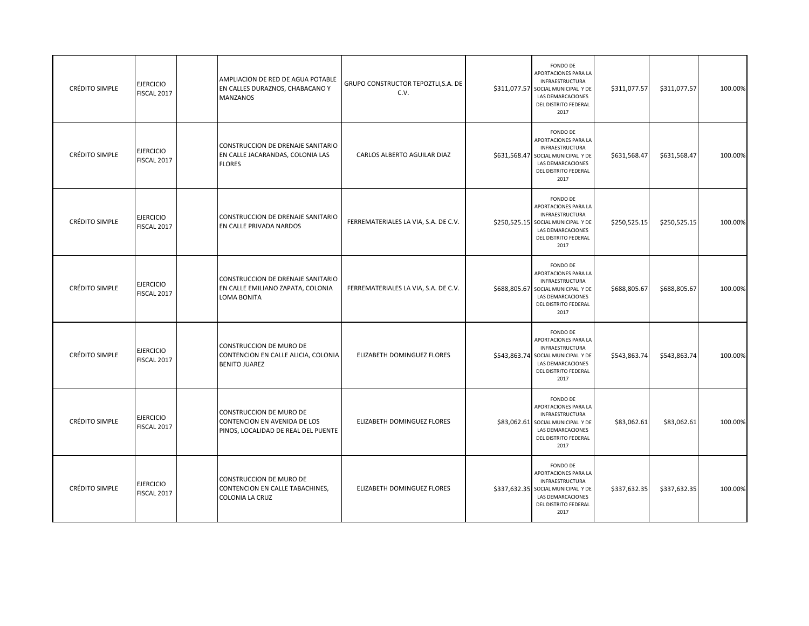| <b>CRÉDITO SIMPLE</b> | <b>EJERCICIO</b><br>FISCAL 2017 | AMPLIACION DE RED DE AGUA POTABLE<br>EN CALLES DURAZNOS, CHABACANO Y<br><b>MANZANOS</b>               | GRUPO CONSTRUCTOR TEPOZTLI, S.A. DE<br>C.V. | FONDO DE<br>APORTACIONES PARA LA<br>INFRAESTRUCTURA<br>\$311,077.57 SOCIAL MUNICIPAL Y DE<br>LAS DEMARCACIONES<br>DEL DISTRITO FEDERAL<br>2017        | \$311,077.57 | \$311,077.57 | 100.00% |
|-----------------------|---------------------------------|-------------------------------------------------------------------------------------------------------|---------------------------------------------|-------------------------------------------------------------------------------------------------------------------------------------------------------|--------------|--------------|---------|
| <b>CRÉDITO SIMPLE</b> | <b>EJERCICIO</b><br>FISCAL 2017 | CONSTRUCCION DE DRENAJE SANITARIO<br>EN CALLE JACARANDAS, COLONIA LAS<br><b>FLORES</b>                | CARLOS ALBERTO AGUILAR DIAZ                 | FONDO DE<br>APORTACIONES PARA LA<br>INFRAESTRUCTURA<br>\$631,568.47 SOCIAL MUNICIPAL Y DE<br>LAS DEMARCACIONES<br>DEL DISTRITO FEDERAL<br>2017        | \$631,568.47 | \$631,568.47 | 100.00% |
| CRÉDITO SIMPLE        | <b>EJERCICIO</b><br>FISCAL 2017 | CONSTRUCCION DE DRENAJE SANITARIO<br>EN CALLE PRIVADA NARDOS                                          | FERREMATERIALES LA VIA, S.A. DE C.V.        | <b>FONDO DE</b><br>APORTACIONES PARA LA<br>INFRAESTRUCTURA<br>\$250,525.15 SOCIAL MUNICIPAL Y DE<br>LAS DEMARCACIONES<br>DEL DISTRITO FEDERAL<br>2017 | \$250,525.15 | \$250,525.15 | 100.00% |
| CRÉDITO SIMPLE        | <b>EJERCICIO</b><br>FISCAL 2017 | CONSTRUCCION DE DRENAJE SANITARIO<br>EN CALLE EMILIANO ZAPATA, COLONIA<br>LOMA BONITA                 | FERREMATERIALES LA VIA, S.A. DE C.V.        | FONDO DE<br>APORTACIONES PARA LA<br>INFRAESTRUCTURA<br>\$688,805.67 SOCIAL MUNICIPAL Y DE<br>LAS DEMARCACIONES<br>DEL DISTRITO FEDERAL<br>2017        | \$688,805.67 | \$688,805.67 | 100.00% |
| <b>CRÉDITO SIMPLE</b> | <b>EJERCICIO</b><br>FISCAL 2017 | <b>CONSTRUCCION DE MURO DE</b><br>CONTENCION EN CALLE ALICIA, COLONIA<br><b>BENITO JUAREZ</b>         | ELIZABETH DOMINGUEZ FLORES                  | FONDO DE<br>APORTACIONES PARA LA<br>INFRAESTRUCTURA<br>\$543,863.74 SOCIAL MUNICIPAL Y DE<br>LAS DEMARCACIONES<br>DEL DISTRITO FEDERAL<br>2017        | \$543,863.74 | \$543,863.74 | 100.00% |
| CRÉDITO SIMPLE        | <b>EJERCICIO</b><br>FISCAL 2017 | <b>CONSTRUCCION DE MURO DE</b><br>CONTENCION EN AVENIDA DE LOS<br>PINOS, LOCALIDAD DE REAL DEL PUENTE | ELIZABETH DOMINGUEZ FLORES                  | FONDO DE<br>APORTACIONES PARA LA<br><b>INFRAESTRUCTURA</b><br>\$83,062.61 SOCIAL MUNICIPAL Y DE<br>LAS DEMARCACIONES<br>DEL DISTRITO FEDERAL<br>2017  | \$83,062.61  | \$83,062.61  | 100.00% |
| CRÉDITO SIMPLE        | <b>EJERCICIO</b><br>FISCAL 2017 | CONSTRUCCION DE MURO DE<br>CONTENCION EN CALLE TABACHINES,<br>COLONIA LA CRUZ                         | ELIZABETH DOMINGUEZ FLORES                  | FONDO DE<br>APORTACIONES PARA LA<br>INFRAESTRUCTURA<br>\$337,632.35 SOCIAL MUNICIPAL Y DE<br>LAS DEMARCACIONES<br>DEL DISTRITO FEDERAL<br>2017        | \$337,632.35 | \$337,632.35 | 100.00% |